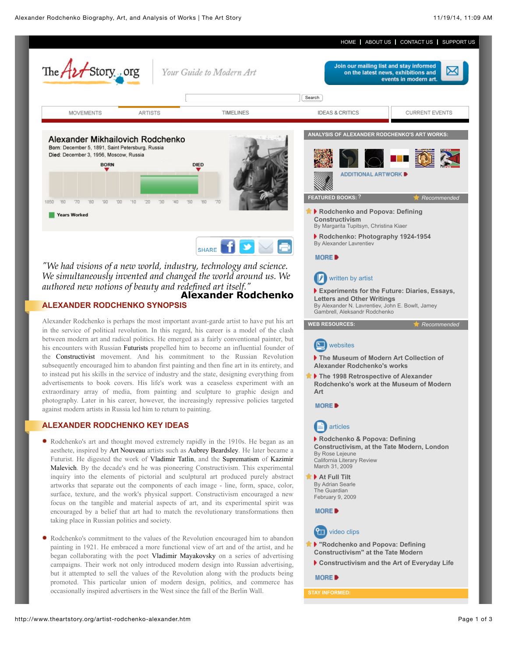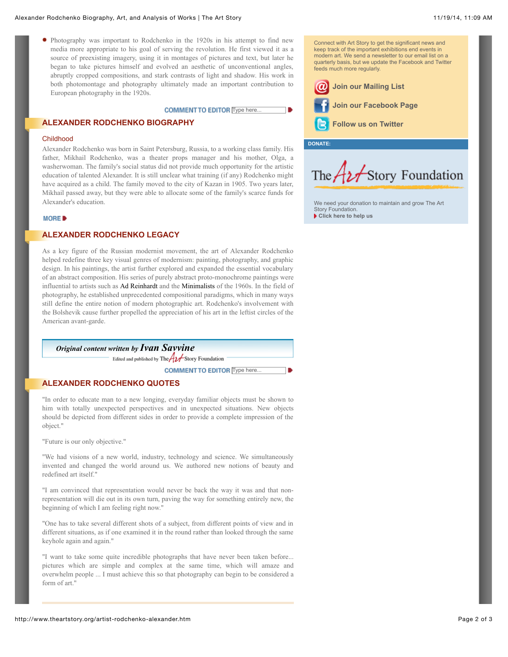Photography was important to Rodchenko in the 1920s in his attempt to find new media more appropriate to his goal of serving the revolution. He first viewed it as a source of preexisting imagery, using it in montages of pictures and text, but later he began to take pictures himself and evolved an aesthetic of unconventional angles, abruptly cropped compositions, and stark contrasts of light and shadow. His work in both photomontage and photography ultimately made an important contribution to European photography in the 1920s.

## COMMENT TO EDITOR Type here...

## **ALEXANDER RODCHENKO BIOGRAPHY**

#### Childhood

Alexander Rodchenko was born in Saint Petersburg, Russia, to a working class family. His father, Mikhail Rodchenko, was a theater props manager and his mother, Olga, a washerwoman. The family's social status did not provide much opportunity for the artistic education of talented Alexander. It is still unclear what training (if any) Rodchenko might have acquired as a child. The family moved to the city of Kazan in 1905. Two years later, Mikhail passed away, but they were able to allocate some of the family's scarce funds for Alexander's education.

### MORE B

# **ALEXANDER RODCHENKO LEGACY**

As a key figure of the Russian modernist movement, the art of Alexander Rodchenko helped redefine three key visual genres of modernism: painting, photography, and graphic design. In his paintings, the artist further explored and expanded the essential vocabulary of an abstract composition. His series of purely abstract proto-monochrome paintings were influential to artists such as Ad Reinhardt and the Minimalists of the 1960s. In the field of photography, he established unprecedented compositional paradigms, which in many ways still define the entire notion of modern photographic art. Rodchenko's involvement with the Bolshevik cause further propelled the appreciation of his art in the leftist circles of the American avant-garde.

# *Original content written by [Ivan Savvine](http://www.theartstory.org/about_us.htm#savvine)*

Edited and published by The  $A2f$ Story Foundation

**COMMENT TO EDITOR Type here...** 

## **ALEXANDER RODCHENKO QUOTES**

"In order to educate man to a new longing, everyday familiar objects must be shown to him with totally unexpected perspectives and in unexpected situations. New objects should be depicted from different sides in order to provide a complete impression of the object."

"Future is our only objective."

"We had visions of a new world, industry, technology and science. We simultaneously invented and changed the world around us. We authored new notions of beauty and redefined art itself."

"I am convinced that representation would never be back the way it was and that nonrepresentation will die out in its own turn, paving the way for something entirely new, the beginning of which I am feeling right now."

"One has to take several different shots of a subject, from different points of view and in different situations, as if one examined it in the round rather than looked through the same keyhole again and again."

"I want to take some quite incredible photographs that have never been taken before... pictures which are simple and complex at the same time, which will amaze and overwhelm people ... I must achieve this so that photography can begin to be considered a form of art."

keep track of the important exhibitions end events in modern art. We send a newsletter to our email list on a quarterly basis, but we update the Facebook and Twitter feeds much more regularly. **[Join our Mailing List](http://www.theartstory.org/contact_mailing_list.htm) [Join our Facebook Page](http://www.facebook.com/TheArtStory)**

Connect with Art Story to get the significant news and

**[Follow us on Twitter](http://twitter.com/TheArtStory)**

**DONATE:**

٦D

The  $A$ **z** Story Foundation

[We need your donation to maintain and grow The Art](http://www.theartstory.org/donate.htm) Story Foundation. **[Click here to help us](http://www.theartstory.org/donate.htm)**